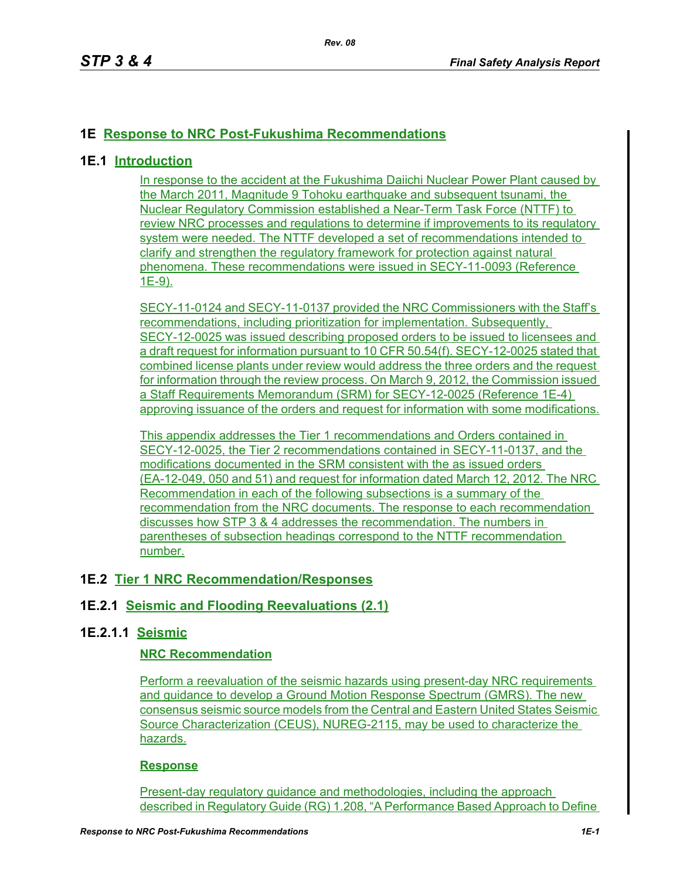## **1E Response to NRC Post-Fukushima Recommendations**

### **1E.1 Introduction**

In response to the accident at the Fukushima Daiichi Nuclear Power Plant caused by the March 2011, Magnitude 9 Tohoku earthquake and subsequent tsunami, the Nuclear Regulatory Commission established a Near-Term Task Force (NTTF) to review NRC processes and regulations to determine if improvements to its regulatory system were needed. The NTTF developed a set of recommendations intended to clarify and strengthen the regulatory framework for protection against natural phenomena. These recommendations were issued in SECY-11-0093 (Reference 1E-9).

SECY-11-0124 and SECY-11-0137 provided the NRC Commissioners with the Staff's recommendations, including prioritization for implementation. Subsequently, SECY-12-0025 was issued describing proposed orders to be issued to licensees and a draft request for information pursuant to 10 CFR 50.54(f). SECY-12-0025 stated that combined license plants under review would address the three orders and the request for information through the review process. On March 9, 2012, the Commission issued a Staff Requirements Memorandum (SRM) for SECY-12-0025 (Reference 1E-4) approving issuance of the orders and request for information with some modifications.

This appendix addresses the Tier 1 recommendations and Orders contained in SECY-12-0025, the Tier 2 recommendations contained in SECY-11-0137, and the modifications documented in the SRM consistent with the as issued orders (EA-12-049, 050 and 51) and request for information dated March 12, 2012. The NRC Recommendation in each of the following subsections is a summary of the recommendation from the NRC documents. The response to each recommendation discusses how STP 3 & 4 addresses the recommendation. The numbers in parentheses of subsection headings correspond to the NTTF recommendation number.

### **1E.2 Tier 1 NRC Recommendation/Responses**

### **1E.2.1 Seismic and Flooding Reevaluations (2.1)**

### **1E.2.1.1 Seismic**

### **NRC Recommendation**

Perform a reevaluation of the seismic hazards using present-day NRC requirements and guidance to develop a Ground Motion Response Spectrum (GMRS). The new consensus seismic source models from the Central and Eastern United States Seismic Source Characterization (CEUS), NUREG-2115, may be used to characterize the hazards.

#### **Response**

Present-day regulatory guidance and methodologies, including the approach described in Regulatory Guide (RG) 1.208, "A Performance Based Approach to Define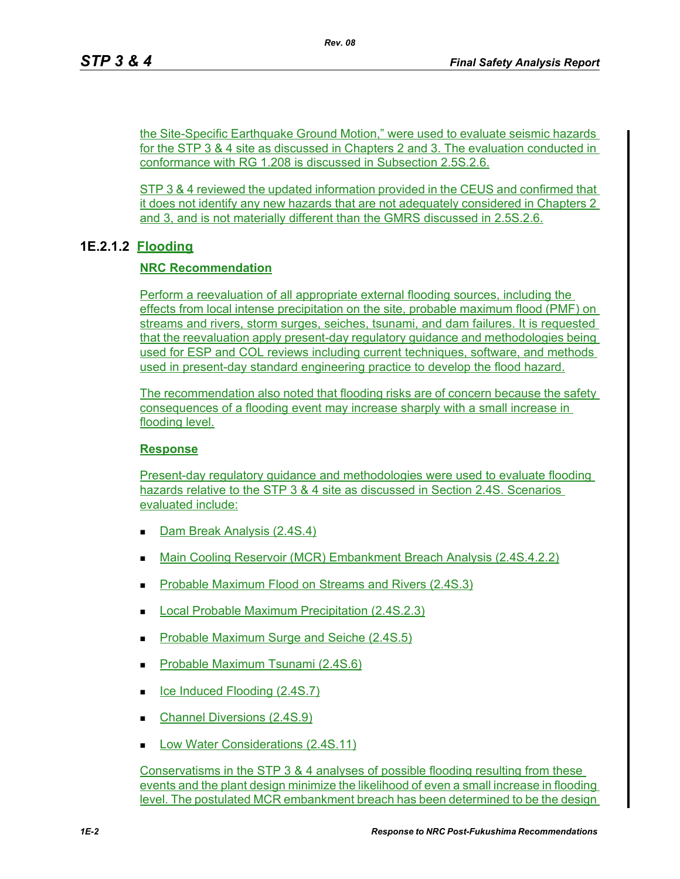the Site-Specific Earthquake Ground Motion," were used to evaluate seismic hazards for the STP 3 & 4 site as discussed in Chapters 2 and 3. The evaluation conducted in conformance with RG 1.208 is discussed in Subsection 2.5S.2.6.

STP 3 & 4 reviewed the updated information provided in the CEUS and confirmed that it does not identify any new hazards that are not adequately considered in Chapters 2 and 3, and is not materially different than the GMRS discussed in 2.5S.2.6.

## **1E.2.1.2 Flooding**

### **NRC Recommendation**

Perform a reevaluation of all appropriate external flooding sources, including the effects from local intense precipitation on the site, probable maximum flood (PMF) on streams and rivers, storm surges, seiches, tsunami, and dam failures. It is requested that the reevaluation apply present-day regulatory guidance and methodologies being used for ESP and COL reviews including current techniques, software, and methods used in present-day standard engineering practice to develop the flood hazard.

The recommendation also noted that flooding risks are of concern because the safety consequences of a flooding event may increase sharply with a small increase in flooding level.

### **Response**

Present-day regulatory guidance and methodologies were used to evaluate flooding hazards relative to the STP 3 & 4 site as discussed in Section 2.4S. Scenarios evaluated include:

- Dam Break Analysis (2.4S.4)
- Main Cooling Reservoir (MCR) Embankment Breach Analysis (2.4S.4.2.2)
- Probable Maximum Flood on Streams and Rivers (2.4S.3)
- Local Probable Maximum Precipitation (2.4S.2.3)
- Probable Maximum Surge and Seiche (2.4S.5)
- Probable Maximum Tsunami (2.4S.6)
- Ice Induced Flooding (2.4S.7)
- Channel Diversions (2.4S.9)
- Low Water Considerations (2.4S.11)

Conservatisms in the STP 3 & 4 analyses of possible flooding resulting from these events and the plant design minimize the likelihood of even a small increase in flooding level. The postulated MCR embankment breach has been determined to be the design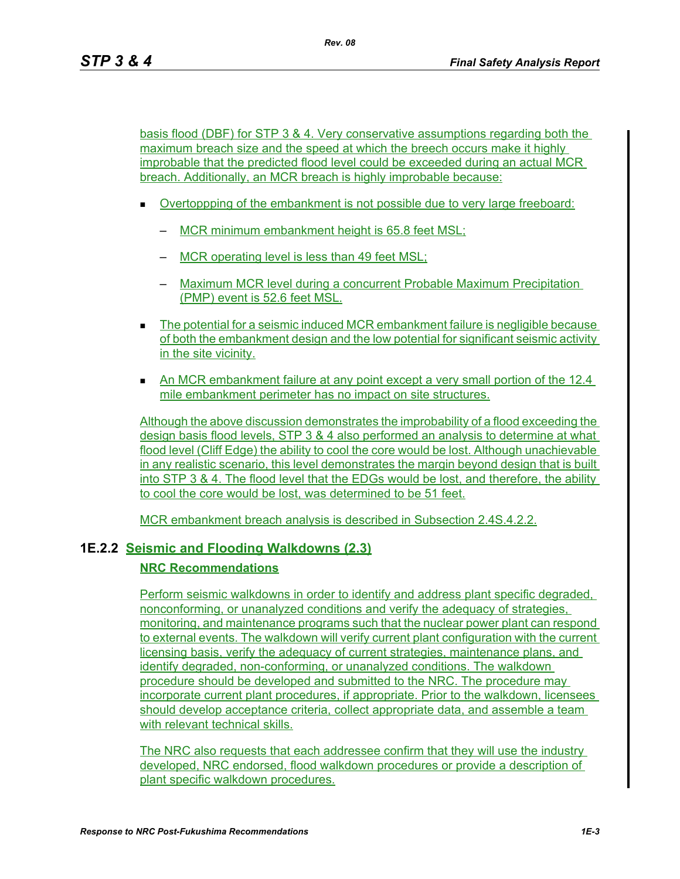basis flood (DBF) for STP 3 & 4. Very conservative assumptions regarding both the maximum breach size and the speed at which the breech occurs make it highly improbable that the predicted flood level could be exceeded during an actual MCR breach. Additionally, an MCR breach is highly improbable because:

- **Dvertoppping of the embankment is not possible due to very large freeboard:** 
	- MCR minimum embankment height is 65.8 feet MSL;
	- MCR operating level is less than 49 feet MSL;
	- Maximum MCR level during a concurrent Probable Maximum Precipitation (PMP) event is 52.6 feet MSL.
- The potential for a seismic induced MCR embankment failure is negligible because of both the embankment design and the low potential for significant seismic activity in the site vicinity.
- An MCR embankment failure at any point except a very small portion of the 12.4 mile embankment perimeter has no impact on site structures.

Although the above discussion demonstrates the improbability of a flood exceeding the design basis flood levels, STP 3 & 4 also performed an analysis to determine at what flood level (Cliff Edge) the ability to cool the core would be lost. Although unachievable in any realistic scenario, this level demonstrates the margin beyond design that is built into STP 3 & 4. The flood level that the EDGs would be lost, and therefore, the ability to cool the core would be lost, was determined to be 51 feet.

MCR embankment breach analysis is described in Subsection 2.4S.4.2.2.

### **1E.2.2 Seismic and Flooding Walkdowns (2.3)**

#### **NRC Recommendations**

Perform seismic walkdowns in order to identify and address plant specific degraded, nonconforming, or unanalyzed conditions and verify the adequacy of strategies, monitoring, and maintenance programs such that the nuclear power plant can respond to external events. The walkdown will verify current plant configuration with the current licensing basis, verify the adequacy of current strategies, maintenance plans, and identify degraded, non-conforming, or unanalyzed conditions. The walkdown procedure should be developed and submitted to the NRC. The procedure may incorporate current plant procedures, if appropriate. Prior to the walkdown, licensees should develop acceptance criteria, collect appropriate data, and assemble a team with relevant technical skills.

The NRC also requests that each addressee confirm that they will use the industry developed, NRC endorsed, flood walkdown procedures or provide a description of plant specific walkdown procedures.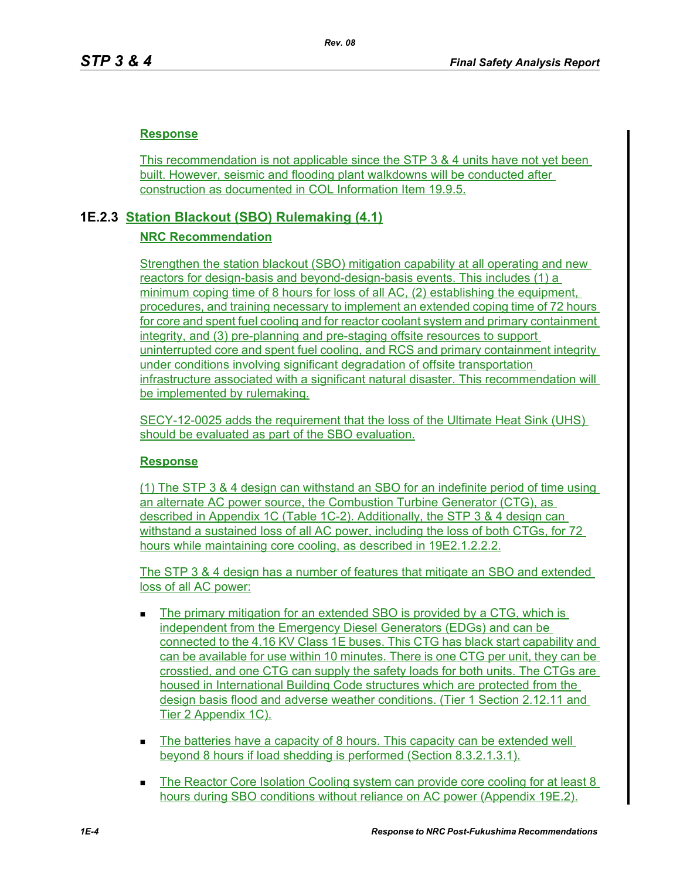### **Response**

This recommendation is not applicable since the STP 3 & 4 units have not yet been built. However, seismic and flooding plant walkdowns will be conducted after construction as documented in COL Information Item 19.9.5.

## **1E.2.3 Station Blackout (SBO) Rulemaking (4.1)**

### **NRC Recommendation**

Strengthen the station blackout (SBO) mitigation capability at all operating and new reactors for design-basis and beyond-design-basis events. This includes (1) a minimum coping time of 8 hours for loss of all AC, (2) establishing the equipment, procedures, and training necessary to implement an extended coping time of 72 hours for core and spent fuel cooling and for reactor coolant system and primary containment integrity, and (3) pre-planning and pre-staging offsite resources to support uninterrupted core and spent fuel cooling, and RCS and primary containment integrity under conditions involving significant degradation of offsite transportation infrastructure associated with a significant natural disaster. This recommendation will be implemented by rulemaking.

SECY-12-0025 adds the requirement that the loss of the Ultimate Heat Sink (UHS) should be evaluated as part of the SBO evaluation.

### **Response**

(1) The STP 3 & 4 design can withstand an SBO for an indefinite period of time using an alternate AC power source, the Combustion Turbine Generator (CTG), as described in Appendix 1C (Table 1C-2). Additionally, the STP 3 & 4 design can withstand a sustained loss of all AC power, including the loss of both CTGs, for 72 hours while maintaining core cooling, as described in 19E2.1.2.2.2.

The STP 3 & 4 design has a number of features that mitigate an SBO and extended loss of all AC power:

- The primary mitigation for an extended SBO is provided by a CTG, which is independent from the Emergency Diesel Generators (EDGs) and can be connected to the 4.16 KV Class 1E buses. This CTG has black start capability and can be available for use within 10 minutes. There is one CTG per unit, they can be crosstied, and one CTG can supply the safety loads for both units. The CTGs are housed in International Building Code structures which are protected from the design basis flood and adverse weather conditions. (Tier 1 Section 2.12.11 and Tier 2 Appendix 1C).
- The batteries have a capacity of 8 hours. This capacity can be extended well beyond 8 hours if load shedding is performed (Section 8.3.2.1.3.1).
- The Reactor Core Isolation Cooling system can provide core cooling for at least 8 hours during SBO conditions without reliance on AC power (Appendix 19E.2).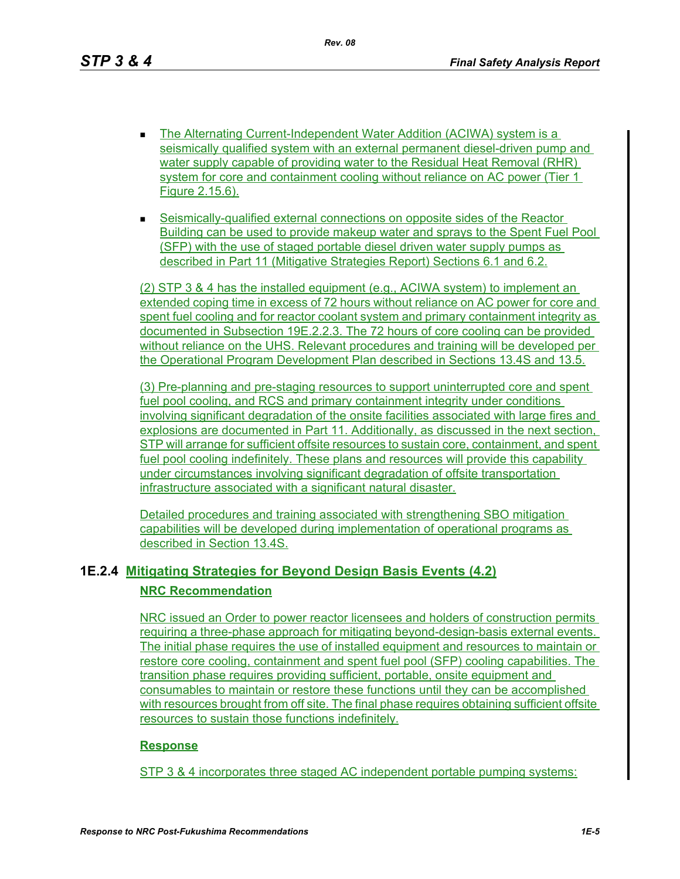*Rev. 08*

- The Alternating Current-Independent Water Addition (ACIWA) system is a seismically qualified system with an external permanent diesel-driven pump and water supply capable of providing water to the Residual Heat Removal (RHR) system for core and containment cooling without reliance on AC power (Tier 1 Figure 2.15.6).
- Seismically-qualified external connections on opposite sides of the Reactor Building can be used to provide makeup water and sprays to the Spent Fuel Pool (SFP) with the use of staged portable diesel driven water supply pumps as described in Part 11 (Mitigative Strategies Report) Sections 6.1 and 6.2.

(2) STP 3 & 4 has the installed equipment (e.g., ACIWA system) to implement an extended coping time in excess of 72 hours without reliance on AC power for core and spent fuel cooling and for reactor coolant system and primary containment integrity as documented in Subsection 19E.2.2.3. The 72 hours of core cooling can be provided without reliance on the UHS. Relevant procedures and training will be developed per the Operational Program Development Plan described in Sections 13.4S and 13.5.

(3) Pre-planning and pre-staging resources to support uninterrupted core and spent fuel pool cooling, and RCS and primary containment integrity under conditions involving significant degradation of the onsite facilities associated with large fires and explosions are documented in Part 11. Additionally, as discussed in the next section, STP will arrange for sufficient offsite resources to sustain core, containment, and spent fuel pool cooling indefinitely. These plans and resources will provide this capability under circumstances involving significant degradation of offsite transportation infrastructure associated with a significant natural disaster.

Detailed procedures and training associated with strengthening SBO mitigation capabilities will be developed during implementation of operational programs as described in Section 13.4S.

# **1E.2.4 Mitigating Strategies for Beyond Design Basis Events (4.2) NRC Recommendation**

NRC issued an Order to power reactor licensees and holders of construction permits requiring a three-phase approach for mitigating beyond-design-basis external events. The initial phase requires the use of installed equipment and resources to maintain or restore core cooling, containment and spent fuel pool (SFP) cooling capabilities. The transition phase requires providing sufficient, portable, onsite equipment and consumables to maintain or restore these functions until they can be accomplished with resources brought from off site. The final phase requires obtaining sufficient offsite resources to sustain those functions indefinitely.

### **Response**

STP 3 & 4 incorporates three staged AC independent portable pumping systems: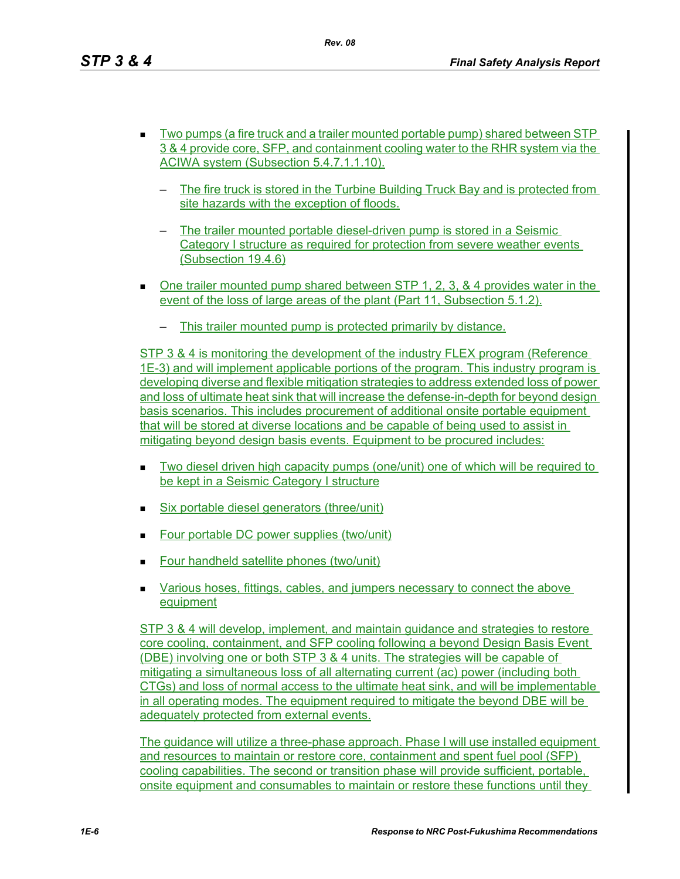- Two pumps (a fire truck and a trailer mounted portable pump) shared between STP 3 & 4 provide core, SFP, and containment cooling water to the RHR system via the ACIWA system (Subsection 5.4.7.1.1.10).
	- The fire truck is stored in the Turbine Building Truck Bay and is protected from site hazards with the exception of floods.
	- The trailer mounted portable diesel-driven pump is stored in a Seismic Category I structure as required for protection from severe weather events (Subsection 19.4.6)
- $\blacksquare$  One trailer mounted pump shared between STP 1, 2, 3, & 4 provides water in the event of the loss of large areas of the plant (Part 11, Subsection 5.1.2).
	- This trailer mounted pump is protected primarily by distance.

STP 3 & 4 is monitoring the development of the industry FLEX program (Reference 1E-3) and will implement applicable portions of the program. This industry program is developing diverse and flexible mitigation strategies to address extended loss of power and loss of ultimate heat sink that will increase the defense-in-depth for beyond design basis scenarios. This includes procurement of additional onsite portable equipment that will be stored at diverse locations and be capable of being used to assist in mitigating beyond design basis events. Equipment to be procured includes:

- Two diesel driven high capacity pumps (one/unit) one of which will be required to be kept in a Seismic Category I structure
- $\blacksquare$  Six portable diesel generators (three/unit)
- Four portable DC power supplies (two/unit)
- **Four handheld satellite phones (two/unit)**
- Various hoses, fittings, cables, and jumpers necessary to connect the above equipment

STP 3 & 4 will develop, implement, and maintain guidance and strategies to restore core cooling, containment, and SFP cooling following a beyond Design Basis Event (DBE) involving one or both STP 3 & 4 units. The strategies will be capable of mitigating a simultaneous loss of all alternating current (ac) power (including both CTGs) and loss of normal access to the ultimate heat sink, and will be implementable in all operating modes. The equipment required to mitigate the beyond DBE will be adequately protected from external events.

The guidance will utilize a three-phase approach. Phase I will use installed equipment and resources to maintain or restore core, containment and spent fuel pool (SFP) cooling capabilities. The second or transition phase will provide sufficient, portable, onsite equipment and consumables to maintain or restore these functions until they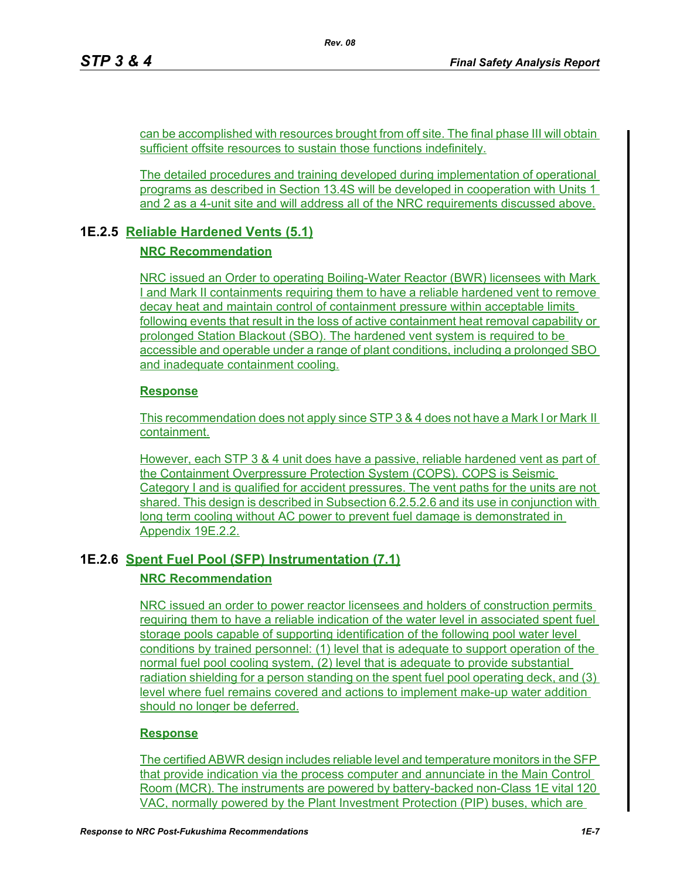can be accomplished with resources brought from off site. The final phase III will obtain sufficient offsite resources to sustain those functions indefinitely.

The detailed procedures and training developed during implementation of operational programs as described in Section 13.4S will be developed in cooperation with Units 1 and 2 as a 4-unit site and will address all of the NRC requirements discussed above.

## **1E.2.5 Reliable Hardened Vents (5.1)**

### **NRC Recommendation**

NRC issued an Order to operating Boiling-Water Reactor (BWR) licensees with Mark I and Mark II containments requiring them to have a reliable hardened vent to remove decay heat and maintain control of containment pressure within acceptable limits following events that result in the loss of active containment heat removal capability or prolonged Station Blackout (SBO). The hardened vent system is required to be accessible and operable under a range of plant conditions, including a prolonged SBO and inadequate containment cooling.

### **Response**

This recommendation does not apply since STP 3 & 4 does not have a Mark I or Mark II containment.

However, each STP 3 & 4 unit does have a passive, reliable hardened vent as part of the Containment Overpressure Protection System (COPS). COPS is Seismic Category I and is qualified for accident pressures. The vent paths for the units are not shared. This design is described in Subsection 6.2.5.2.6 and its use in conjunction with long term cooling without AC power to prevent fuel damage is demonstrated in Appendix 19E.2.2.

## **1E.2.6 Spent Fuel Pool (SFP) Instrumentation (7.1)**

### **NRC Recommendation**

NRC issued an order to power reactor licensees and holders of construction permits requiring them to have a reliable indication of the water level in associated spent fuel storage pools capable of supporting identification of the following pool water level conditions by trained personnel: (1) level that is adequate to support operation of the normal fuel pool cooling system, (2) level that is adequate to provide substantial radiation shielding for a person standing on the spent fuel pool operating deck, and (3) level where fuel remains covered and actions to implement make-up water addition should no longer be deferred.

### **Response**

The certified ABWR design includes reliable level and temperature monitors in the SFP that provide indication via the process computer and annunciate in the Main Control Room (MCR). The instruments are powered by battery-backed non-Class 1E vital 120 VAC, normally powered by the Plant Investment Protection (PIP) buses, which are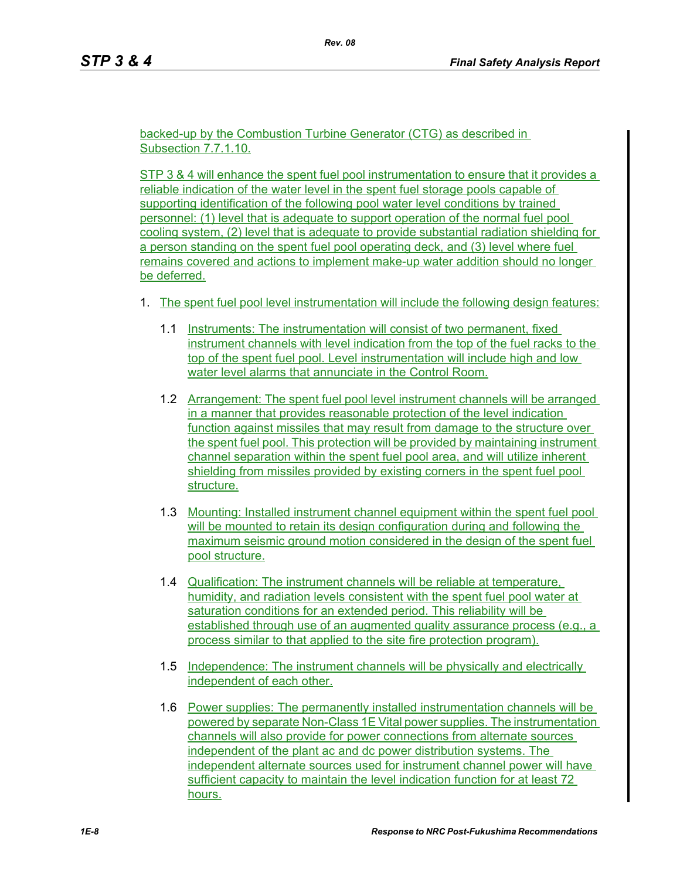backed-up by the Combustion Turbine Generator (CTG) as described in Subsection 7.7.1.10.

STP 3 & 4 will enhance the spent fuel pool instrumentation to ensure that it provides a reliable indication of the water level in the spent fuel storage pools capable of supporting identification of the following pool water level conditions by trained personnel: (1) level that is adequate to support operation of the normal fuel pool cooling system, (2) level that is adequate to provide substantial radiation shielding for a person standing on the spent fuel pool operating deck, and (3) level where fuel remains covered and actions to implement make-up water addition should no longer be deferred.

- 1. The spent fuel pool level instrumentation will include the following design features:
	- 1.1 Instruments: The instrumentation will consist of two permanent, fixed instrument channels with level indication from the top of the fuel racks to the top of the spent fuel pool. Level instrumentation will include high and low water level alarms that annunciate in the Control Room.
	- 1.2 Arrangement: The spent fuel pool level instrument channels will be arranged in a manner that provides reasonable protection of the level indication function against missiles that may result from damage to the structure over the spent fuel pool. This protection will be provided by maintaining instrument channel separation within the spent fuel pool area, and will utilize inherent shielding from missiles provided by existing corners in the spent fuel pool structure.
	- 1.3 Mounting: Installed instrument channel equipment within the spent fuel pool will be mounted to retain its design configuration during and following the maximum seismic ground motion considered in the design of the spent fuel pool structure.
	- 1.4 Qualification: The instrument channels will be reliable at temperature, humidity, and radiation levels consistent with the spent fuel pool water at saturation conditions for an extended period. This reliability will be established through use of an augmented quality assurance process (e.g., a process similar to that applied to the site fire protection program).
	- 1.5 Independence: The instrument channels will be physically and electrically independent of each other.
	- 1.6 Power supplies: The permanently installed instrumentation channels will be powered by separate Non-Class 1E Vital power supplies. The instrumentation channels will also provide for power connections from alternate sources independent of the plant ac and dc power distribution systems. The independent alternate sources used for instrument channel power will have sufficient capacity to maintain the level indication function for at least 72 hours.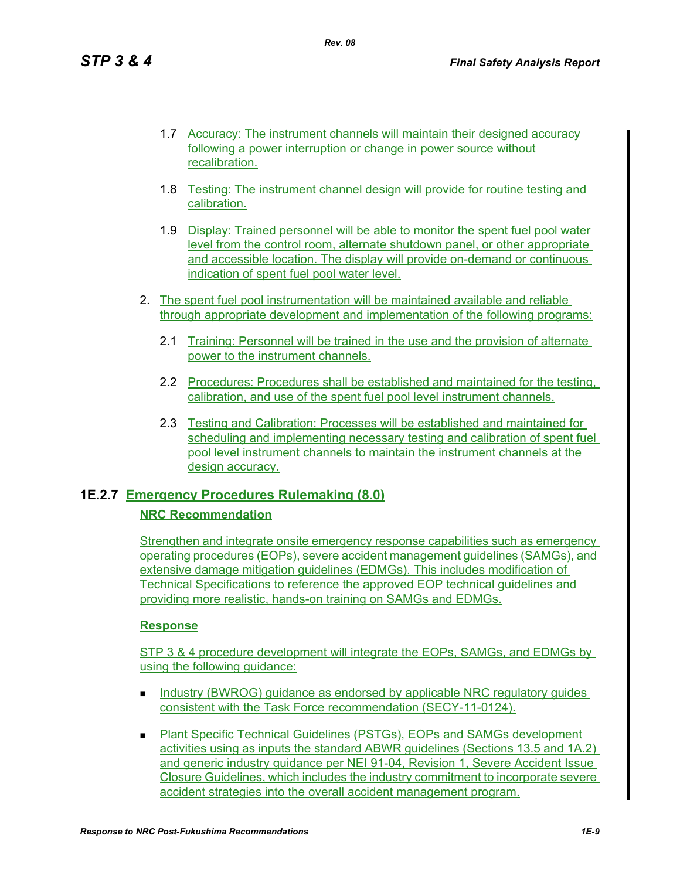- 1.7 Accuracy: The instrument channels will maintain their designed accuracy following a power interruption or change in power source without recalibration.
- 1.8 Testing: The instrument channel design will provide for routine testing and calibration.
- 1.9 Display: Trained personnel will be able to monitor the spent fuel pool water level from the control room, alternate shutdown panel, or other appropriate and accessible location. The display will provide on-demand or continuous indication of spent fuel pool water level.
- 2. The spent fuel pool instrumentation will be maintained available and reliable through appropriate development and implementation of the following programs:
	- 2.1 Training: Personnel will be trained in the use and the provision of alternate power to the instrument channels.
	- 2.2 Procedures: Procedures shall be established and maintained for the testing, calibration, and use of the spent fuel pool level instrument channels.
	- 2.3 Testing and Calibration: Processes will be established and maintained for scheduling and implementing necessary testing and calibration of spent fuel pool level instrument channels to maintain the instrument channels at the design accuracy.

## **1E.2.7 Emergency Procedures Rulemaking (8.0)**

### **NRC Recommendation**

Strengthen and integrate onsite emergency response capabilities such as emergency operating procedures (EOPs), severe accident management guidelines (SAMGs), and extensive damage mitigation guidelines (EDMGs). This includes modification of Technical Specifications to reference the approved EOP technical guidelines and providing more realistic, hands-on training on SAMGs and EDMGs.

### **Response**

STP 3 & 4 procedure development will integrate the EOPs, SAMGs, and EDMGs by using the following quidance:

- Industry (BWROG) guidance as endorsed by applicable NRC regulatory guides consistent with the Task Force recommendation (SECY-11-0124).
- Plant Specific Technical Guidelines (PSTGs), EOPs and SAMGs development activities using as inputs the standard ABWR guidelines (Sections 13.5 and 1A.2) and generic industry guidance per NEI 91-04, Revision 1, Severe Accident Issue Closure Guidelines, which includes the industry commitment to incorporate severe accident strategies into the overall accident management program.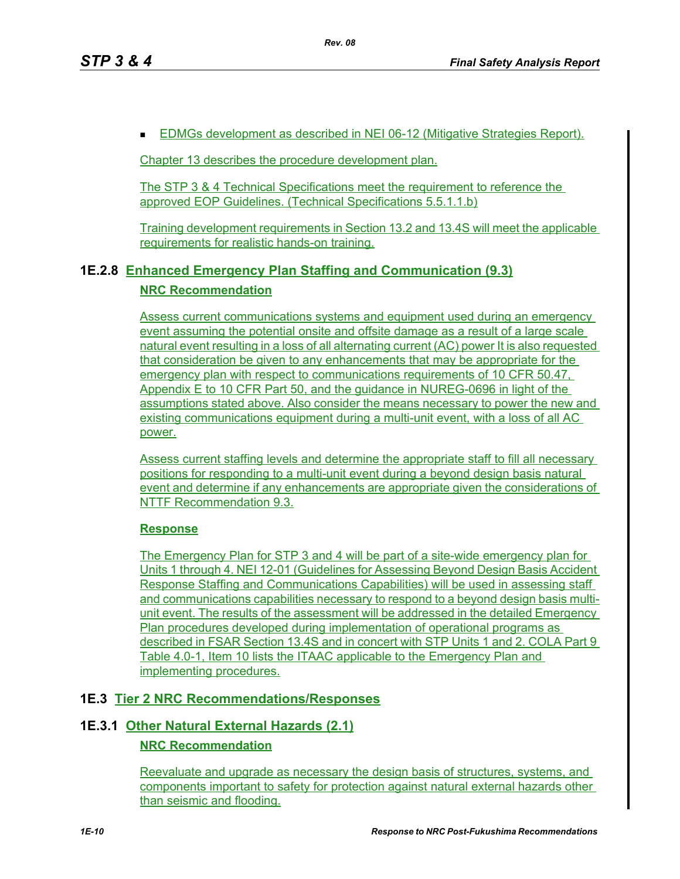**EDMGs development as described in NEI 06-12 (Mitigative Strategies Report).** 

Chapter 13 describes the procedure development plan.

The STP 3 & 4 Technical Specifications meet the requirement to reference the approved EOP Guidelines. (Technical Specifications 5.5.1.1.b)

Training development requirements in Section 13.2 and 13.4S will meet the applicable requirements for realistic hands-on training.

## **1E.2.8 Enhanced Emergency Plan Staffing and Communication (9.3)**

#### **NRC Recommendation**

Assess current communications systems and equipment used during an emergency event assuming the potential onsite and offsite damage as a result of a large scale natural event resulting in a loss of all alternating current (AC) power It is also requested that consideration be given to any enhancements that may be appropriate for the emergency plan with respect to communications requirements of 10 CFR 50.47, Appendix E to 10 CFR Part 50, and the guidance in NUREG-0696 in light of the assumptions stated above. Also consider the means necessary to power the new and existing communications equipment during a multi-unit event, with a loss of all AC power.

Assess current staffing levels and determine the appropriate staff to fill all necessary positions for responding to a multi-unit event during a beyond design basis natural event and determine if any enhancements are appropriate given the considerations of NTTF Recommendation 9.3.

### **Response**

The Emergency Plan for STP 3 and 4 will be part of a site-wide emergency plan for Units 1 through 4. NEI 12-01 (Guidelines for Assessing Beyond Design Basis Accident Response Staffing and Communications Capabilities) will be used in assessing staff and communications capabilities necessary to respond to a beyond design basis multiunit event. The results of the assessment will be addressed in the detailed Emergency Plan procedures developed during implementation of operational programs as described in FSAR Section 13.4S and in concert with STP Units 1 and 2. COLA Part 9 Table 4.0-1, Item 10 lists the ITAAC applicable to the Emergency Plan and implementing procedures.

### **1E.3 Tier 2 NRC Recommendations/Responses**

## **1E.3.1 Other Natural External Hazards (2.1)**

### **NRC Recommendation**

Reevaluate and upgrade as necessary the design basis of structures, systems, and components important to safety for protection against natural external hazards other than seismic and flooding.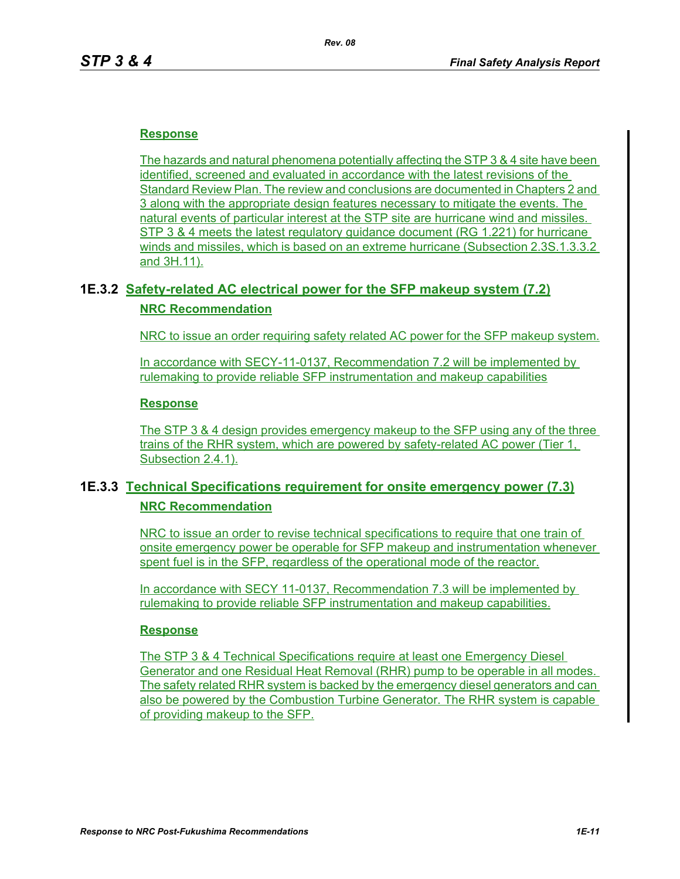### **Response**

The hazards and natural phenomena potentially affecting the STP 3 & 4 site have been identified, screened and evaluated in accordance with the latest revisions of the Standard Review Plan. The review and conclusions are documented in Chapters 2 and 3 along with the appropriate design features necessary to mitigate the events. The natural events of particular interest at the STP site are hurricane wind and missiles. STP 3 & 4 meets the latest regulatory guidance document (RG 1.221) for hurricane winds and missiles, which is based on an extreme hurricane (Subsection 2.3S.1.3.3.2 and 3H.11).

### **1E.3.2 Safety-related AC electrical power for the SFP makeup system (7.2)**

#### **NRC Recommendation**

NRC to issue an order requiring safety related AC power for the SFP makeup system.

In accordance with SECY-11-0137, Recommendation 7.2 will be implemented by rulemaking to provide reliable SFP instrumentation and makeup capabilities

#### **Response**

The STP 3 & 4 design provides emergency makeup to the SFP using any of the three trains of the RHR system, which are powered by safety-related AC power (Tier 1, Subsection 2.4.1).

## **1E.3.3 Technical Specifications requirement for onsite emergency power (7.3) NRC Recommendation**

NRC to issue an order to revise technical specifications to require that one train of onsite emergency power be operable for SFP makeup and instrumentation whenever spent fuel is in the SFP, regardless of the operational mode of the reactor.

In accordance with SECY 11-0137, Recommendation 7.3 will be implemented by rulemaking to provide reliable SFP instrumentation and makeup capabilities.

#### **Response**

The STP 3 & 4 Technical Specifications require at least one Emergency Diesel Generator and one Residual Heat Removal (RHR) pump to be operable in all modes. The safety related RHR system is backed by the emergency diesel generators and can also be powered by the Combustion Turbine Generator. The RHR system is capable of providing makeup to the SFP.